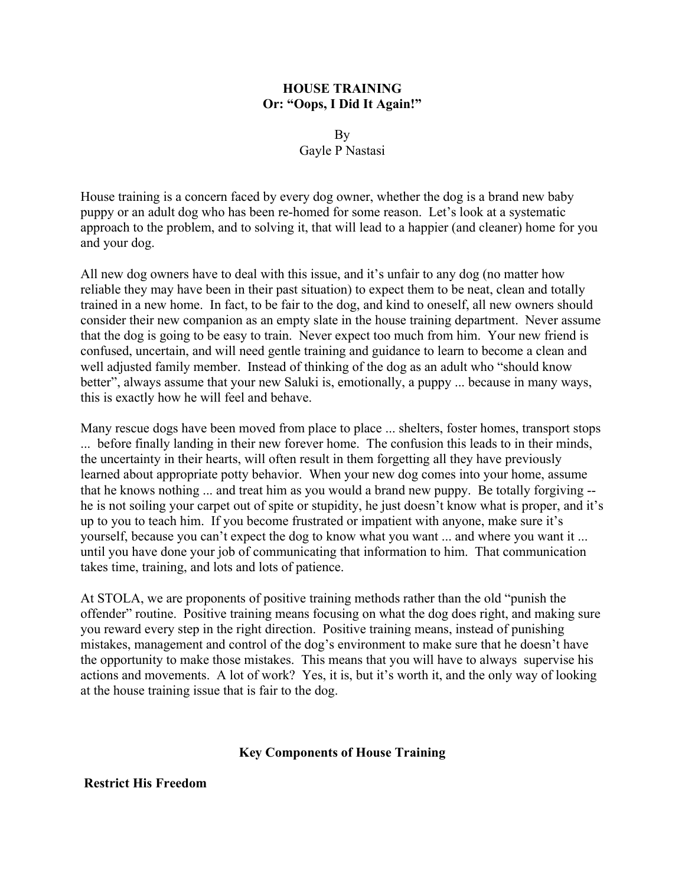### **HOUSE TRAINING Or: "Oops, I Did It Again!"**

By Gayle P Nastasi

House training is a concern faced by every dog owner, whether the dog is a brand new baby puppy or an adult dog who has been re-homed for some reason. Let's look at a systematic approach to the problem, and to solving it, that will lead to a happier (and cleaner) home for you and your dog.

All new dog owners have to deal with this issue, and it's unfair to any dog (no matter how reliable they may have been in their past situation) to expect them to be neat, clean and totally trained in a new home. In fact, to be fair to the dog, and kind to oneself, all new owners should consider their new companion as an empty slate in the house training department. Never assume that the dog is going to be easy to train. Never expect too much from him. Your new friend is confused, uncertain, and will need gentle training and guidance to learn to become a clean and well adjusted family member. Instead of thinking of the dog as an adult who "should know better", always assume that your new Saluki is, emotionally, a puppy ... because in many ways, this is exactly how he will feel and behave.

Many rescue dogs have been moved from place to place ... shelters, foster homes, transport stops ... before finally landing in their new forever home. The confusion this leads to in their minds, the uncertainty in their hearts, will often result in them forgetting all they have previously learned about appropriate potty behavior. When your new dog comes into your home, assume that he knows nothing ... and treat him as you would a brand new puppy. Be totally forgiving - he is not soiling your carpet out of spite or stupidity, he just doesn't know what is proper, and it's up to you to teach him. If you become frustrated or impatient with anyone, make sure it's yourself, because you can't expect the dog to know what you want ... and where you want it ... until you have done your job of communicating that information to him. That communication takes time, training, and lots and lots of patience.

At STOLA, we are proponents of positive training methods rather than the old "punish the offender" routine. Positive training means focusing on what the dog does right, and making sure you reward every step in the right direction. Positive training means, instead of punishing mistakes, management and control of the dog's environment to make sure that he doesn't have the opportunity to make those mistakes. This means that you will have to always supervise his actions and movements. A lot of work? Yes, it is, but it's worth it, and the only way of looking at the house training issue that is fair to the dog.

## **Key Components of House Training**

## **Restrict His Freedom**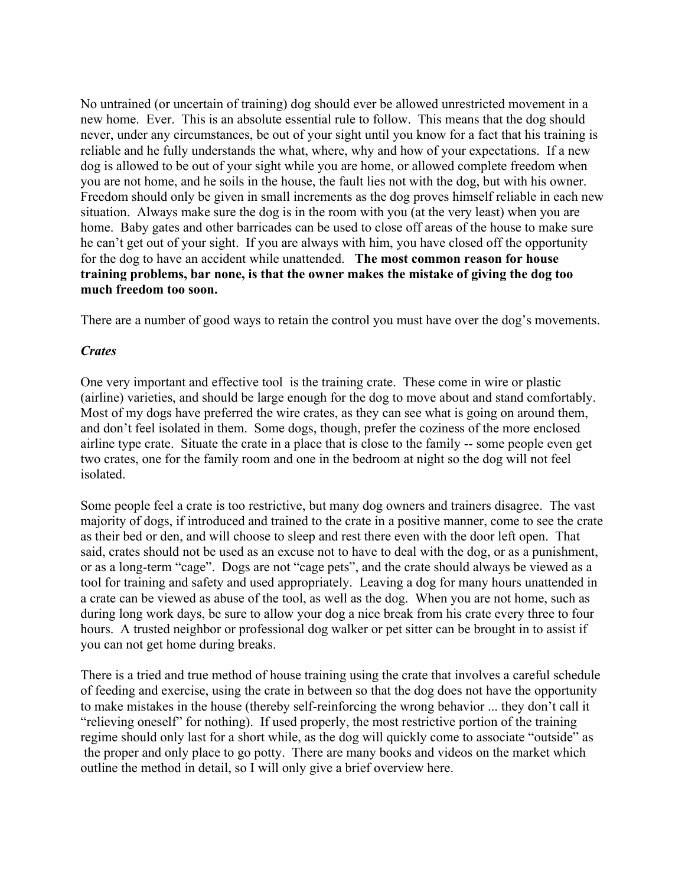No untrained (or uncertain of training) dog should ever be allowed unrestricted movement in a new home. Ever. This is an absolute essential rule to follow. This means that the dog should never, under any circumstances, be out of your sight until you know for a fact that his training is reliable and he fully understands the what, where, why and how of your expectations. If a new dog is allowed to be out of your sight while you are home, or allowed complete freedom when you are not home, and he soils in the house, the fault lies not with the dog, but with his owner. Freedom should only be given in small increments as the dog proves himself reliable in each new situation. Always make sure the dog is in the room with you (at the very least) when you are home. Baby gates and other barricades can be used to close off areas of the house to make sure he can't get out of your sight. If you are always with him, you have closed off the opportunity for the dog to have an accident while unattended. **The most common reason for house training problems, bar none, is that the owner makes the mistake of giving the dog too much freedom too soon.** 

There are a number of good ways to retain the control you must have over the dog's movements.

## *Crates*

One very important and effective tool is the training crate. These come in wire or plastic (airline) varieties, and should be large enough for the dog to move about and stand comfortably. Most of my dogs have preferred the wire crates, as they can see what is going on around them, and don't feel isolated in them. Some dogs, though, prefer the coziness of the more enclosed airline type crate. Situate the crate in a place that is close to the family -- some people even get two crates, one for the family room and one in the bedroom at night so the dog will not feel isolated.

Some people feel a crate is too restrictive, but many dog owners and trainers disagree. The vast majority of dogs, if introduced and trained to the crate in a positive manner, come to see the crate as their bed or den, and will choose to sleep and rest there even with the door left open. That said, crates should not be used as an excuse not to have to deal with the dog, or as a punishment, or as a long-term "cage". Dogs are not "cage pets", and the crate should always be viewed as a tool for training and safety and used appropriately. Leaving a dog for many hours unattended in a crate can be viewed as abuse of the tool, as well as the dog. When you are not home, such as during long work days, be sure to allow your dog a nice break from his crate every three to four hours. A trusted neighbor or professional dog walker or pet sitter can be brought in to assist if you can not get home during breaks.

There is a tried and true method of house training using the crate that involves a careful schedule of feeding and exercise, using the crate in between so that the dog does not have the opportunity to make mistakes in the house (thereby self-reinforcing the wrong behavior ... they don't call it "relieving oneself" for nothing). If used properly, the most restrictive portion of the training regime should only last for a short while, as the dog will quickly come to associate "outside" as the proper and only place to go potty. There are many books and videos on the market which outline the method in detail, so I will only give a brief overview here.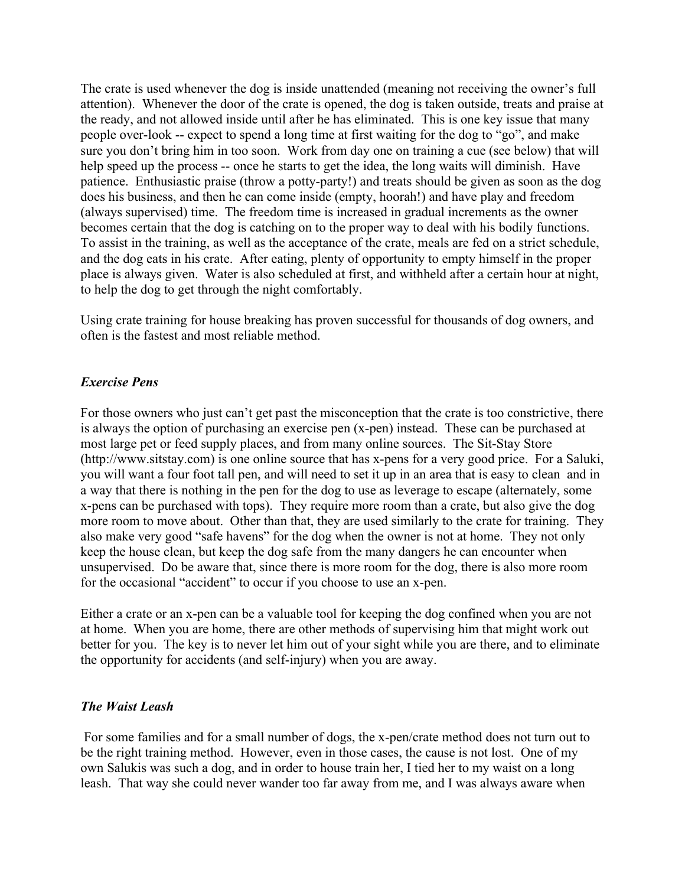The crate is used whenever the dog is inside unattended (meaning not receiving the owner's full attention). Whenever the door of the crate is opened, the dog is taken outside, treats and praise at the ready, and not allowed inside until after he has eliminated. This is one key issue that many people over-look -- expect to spend a long time at first waiting for the dog to "go", and make sure you don't bring him in too soon. Work from day one on training a cue (see below) that will help speed up the process -- once he starts to get the idea, the long waits will diminish. Have patience. Enthusiastic praise (throw a potty-party!) and treats should be given as soon as the dog does his business, and then he can come inside (empty, hoorah!) and have play and freedom (always supervised) time. The freedom time is increased in gradual increments as the owner becomes certain that the dog is catching on to the proper way to deal with his bodily functions. To assist in the training, as well as the acceptance of the crate, meals are fed on a strict schedule, and the dog eats in his crate. After eating, plenty of opportunity to empty himself in the proper place is always given. Water is also scheduled at first, and withheld after a certain hour at night, to help the dog to get through the night comfortably.

Using crate training for house breaking has proven successful for thousands of dog owners, and often is the fastest and most reliable method.

## *Exercise Pens*

For those owners who just can't get past the misconception that the crate is too constrictive, there is always the option of purchasing an exercise pen (x-pen) instead. These can be purchased at most large pet or feed supply places, and from many online sources. The Sit-Stay Store (http://www.sitstay.com) is one online source that has x-pens for a very good price. For a Saluki, you will want a four foot tall pen, and will need to set it up in an area that is easy to clean and in a way that there is nothing in the pen for the dog to use as leverage to escape (alternately, some x-pens can be purchased with tops). They require more room than a crate, but also give the dog more room to move about. Other than that, they are used similarly to the crate for training. They also make very good "safe havens" for the dog when the owner is not at home. They not only keep the house clean, but keep the dog safe from the many dangers he can encounter when unsupervised. Do be aware that, since there is more room for the dog, there is also more room for the occasional "accident" to occur if you choose to use an x-pen.

Either a crate or an x-pen can be a valuable tool for keeping the dog confined when you are not at home. When you are home, there are other methods of supervising him that might work out better for you. The key is to never let him out of your sight while you are there, and to eliminate the opportunity for accidents (and self-injury) when you are away.

## *The Waist Leash*

For some families and for a small number of dogs, the x-pen/crate method does not turn out to be the right training method. However, even in those cases, the cause is not lost. One of my own Salukis was such a dog, and in order to house train her, I tied her to my waist on a long leash. That way she could never wander too far away from me, and I was always aware when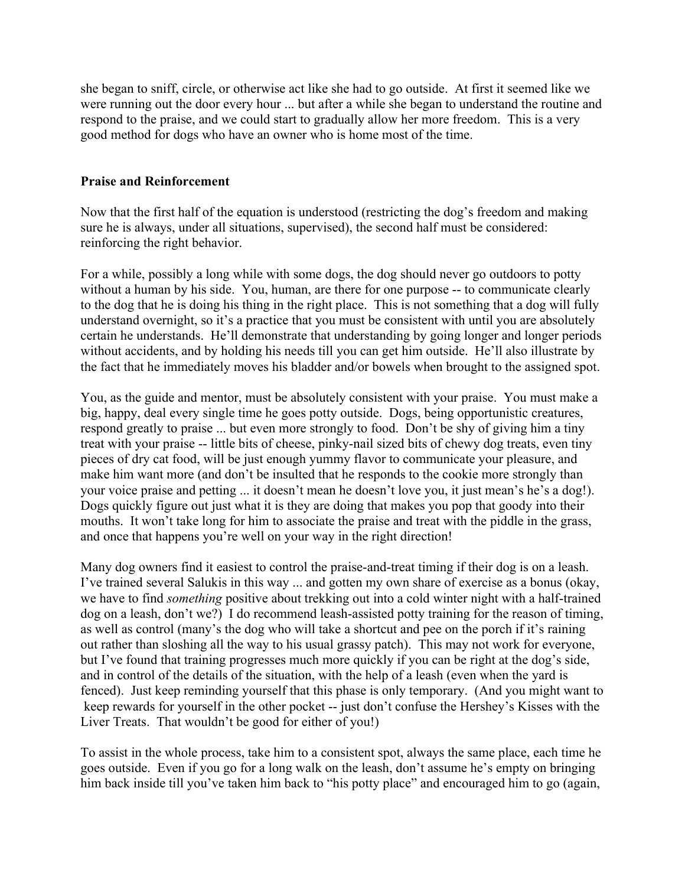she began to sniff, circle, or otherwise act like she had to go outside. At first it seemed like we were running out the door every hour ... but after a while she began to understand the routine and respond to the praise, and we could start to gradually allow her more freedom. This is a very good method for dogs who have an owner who is home most of the time.

## **Praise and Reinforcement**

Now that the first half of the equation is understood (restricting the dog's freedom and making sure he is always, under all situations, supervised), the second half must be considered: reinforcing the right behavior.

For a while, possibly a long while with some dogs, the dog should never go outdoors to potty without a human by his side. You, human, are there for one purpose -- to communicate clearly to the dog that he is doing his thing in the right place. This is not something that a dog will fully understand overnight, so it's a practice that you must be consistent with until you are absolutely certain he understands. He'll demonstrate that understanding by going longer and longer periods without accidents, and by holding his needs till you can get him outside. He'll also illustrate by the fact that he immediately moves his bladder and/or bowels when brought to the assigned spot.

You, as the guide and mentor, must be absolutely consistent with your praise. You must make a big, happy, deal every single time he goes potty outside. Dogs, being opportunistic creatures, respond greatly to praise ... but even more strongly to food. Don't be shy of giving him a tiny treat with your praise -- little bits of cheese, pinky-nail sized bits of chewy dog treats, even tiny pieces of dry cat food, will be just enough yummy flavor to communicate your pleasure, and make him want more (and don't be insulted that he responds to the cookie more strongly than your voice praise and petting ... it doesn't mean he doesn't love you, it just mean's he's a dog!). Dogs quickly figure out just what it is they are doing that makes you pop that goody into their mouths. It won't take long for him to associate the praise and treat with the piddle in the grass, and once that happens you're well on your way in the right direction!

Many dog owners find it easiest to control the praise-and-treat timing if their dog is on a leash. I've trained several Salukis in this way ... and gotten my own share of exercise as a bonus (okay, we have to find *something* positive about trekking out into a cold winter night with a half-trained dog on a leash, don't we?) I do recommend leash-assisted potty training for the reason of timing, as well as control (many's the dog who will take a shortcut and pee on the porch if it's raining out rather than sloshing all the way to his usual grassy patch). This may not work for everyone, but I've found that training progresses much more quickly if you can be right at the dog's side, and in control of the details of the situation, with the help of a leash (even when the yard is fenced). Just keep reminding yourself that this phase is only temporary. (And you might want to keep rewards for yourself in the other pocket -- just don't confuse the Hershey's Kisses with the Liver Treats. That wouldn't be good for either of you!)

To assist in the whole process, take him to a consistent spot, always the same place, each time he goes outside. Even if you go for a long walk on the leash, don't assume he's empty on bringing him back inside till you've taken him back to "his potty place" and encouraged him to go (again,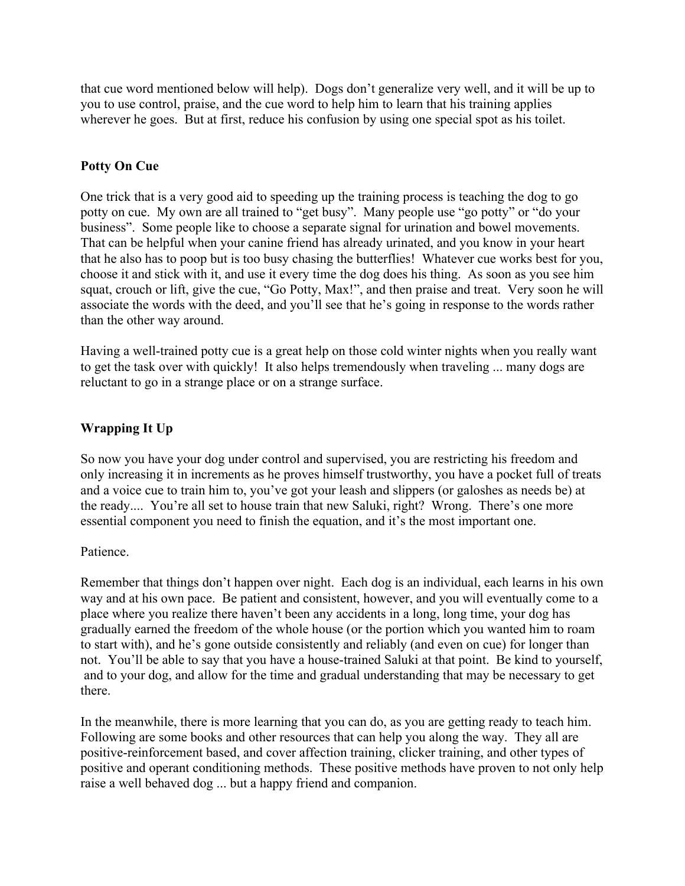that cue word mentioned below will help). Dogs don't generalize very well, and it will be up to you to use control, praise, and the cue word to help him to learn that his training applies wherever he goes. But at first, reduce his confusion by using one special spot as his toilet.

# **Potty On Cue**

One trick that is a very good aid to speeding up the training process is teaching the dog to go potty on cue. My own are all trained to "get busy". Many people use "go potty" or "do your business". Some people like to choose a separate signal for urination and bowel movements. That can be helpful when your canine friend has already urinated, and you know in your heart that he also has to poop but is too busy chasing the butterflies! Whatever cue works best for you, choose it and stick with it, and use it every time the dog does his thing. As soon as you see him squat, crouch or lift, give the cue, "Go Potty, Max!", and then praise and treat. Very soon he will associate the words with the deed, and you'll see that he's going in response to the words rather than the other way around.

Having a well-trained potty cue is a great help on those cold winter nights when you really want to get the task over with quickly! It also helps tremendously when traveling ... many dogs are reluctant to go in a strange place or on a strange surface.

# **Wrapping It Up**

So now you have your dog under control and supervised, you are restricting his freedom and only increasing it in increments as he proves himself trustworthy, you have a pocket full of treats and a voice cue to train him to, you've got your leash and slippers (or galoshes as needs be) at the ready.... You're all set to house train that new Saluki, right? Wrong. There's one more essential component you need to finish the equation, and it's the most important one.

## Patience.

Remember that things don't happen over night. Each dog is an individual, each learns in his own way and at his own pace. Be patient and consistent, however, and you will eventually come to a place where you realize there haven't been any accidents in a long, long time, your dog has gradually earned the freedom of the whole house (or the portion which you wanted him to roam to start with), and he's gone outside consistently and reliably (and even on cue) for longer than not. You'll be able to say that you have a house-trained Saluki at that point. Be kind to yourself, and to your dog, and allow for the time and gradual understanding that may be necessary to get there.

In the meanwhile, there is more learning that you can do, as you are getting ready to teach him. Following are some books and other resources that can help you along the way. They all are positive-reinforcement based, and cover affection training, clicker training, and other types of positive and operant conditioning methods. These positive methods have proven to not only help raise a well behaved dog ... but a happy friend and companion.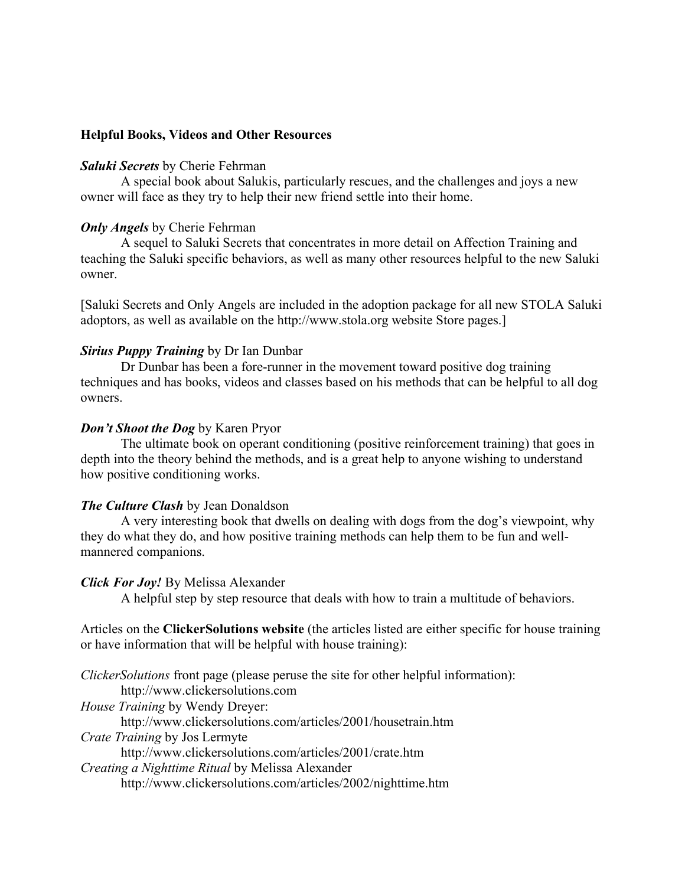### **Helpful Books, Videos and Other Resources**

#### *Saluki Secrets* by Cherie Fehrman

A special book about Salukis, particularly rescues, and the challenges and joys a new owner will face as they try to help their new friend settle into their home.

### *Only Angels* by Cherie Fehrman

A sequel to Saluki Secrets that concentrates in more detail on Affection Training and teaching the Saluki specific behaviors, as well as many other resources helpful to the new Saluki owner.

[Saluki Secrets and Only Angels are included in the adoption package for all new STOLA Saluki adoptors, as well as available on the http://www.stola.org website Store pages.]

### *Sirius Puppy Training* by Dr Ian Dunbar

Dr Dunbar has been a fore-runner in the movement toward positive dog training techniques and has books, videos and classes based on his methods that can be helpful to all dog owners.

#### *Don't Shoot the Dog* by Karen Pryor

The ultimate book on operant conditioning (positive reinforcement training) that goes in depth into the theory behind the methods, and is a great help to anyone wishing to understand how positive conditioning works.

#### *The Culture Clash* by Jean Donaldson

A very interesting book that dwells on dealing with dogs from the dog's viewpoint, why they do what they do, and how positive training methods can help them to be fun and wellmannered companions.

#### *Click For Joy!* By Melissa Alexander

A helpful step by step resource that deals with how to train a multitude of behaviors.

Articles on the **ClickerSolutions website** (the articles listed are either specific for house training or have information that will be helpful with house training):

*ClickerSolutions* front page (please peruse the site for other helpful information): http://www.clickersolutions.com *House Training* by Wendy Dreyer: http://www.clickersolutions.com/articles/2001/housetrain.htm *Crate Training* by Jos Lermyte http://www.clickersolutions.com/articles/2001/crate.htm *Creating a Nighttime Ritual* by Melissa Alexander http://www.clickersolutions.com/articles/2002/nighttime.htm